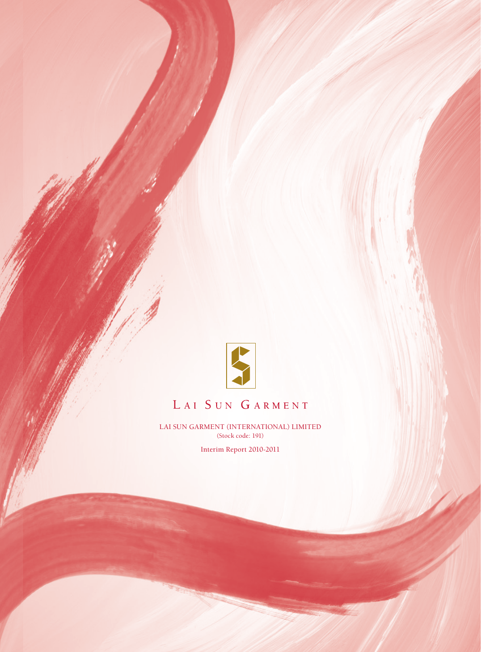

# LAI SUN GARMENT

LAI SUN GARMENT (INTERNATIONAL) LIMITED (Stock code: 191)

Interim Report 2010-2011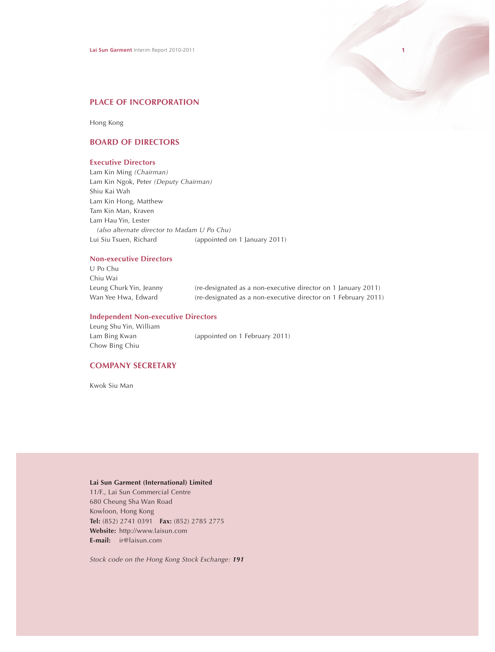

# **PLACE OF INCORPORATION**

Hong Kong

# **BOARD OF DIRECTORS**

# **Executive Directors**

Lam Kin Ming *(Chairman)* Lam Kin Ngok, Peter *(Deputy Chairman)* Shiu Kai Wah Lam Kin Hong, Matthew Tam Kin Man, Kraven Lam Hau Yin, Lester *(also alternate director to Madam U Po Chu)* Lui Siu Tsuen, Richard (appointed on 1 January 2011)

# **Non-executive Directors**

U Po Chu Chiu Wai Leung Churk Yin, Jeanny (re-designated as a non-executive director on 1 January 2011) Wan Yee Hwa, Edward (re-designated as a non-executive director on 1 February 2011)

# **Independent Non-executive Directors**

Leung Shu Yin, William Lam Bing Kwan (appointed on 1 February 2011) Chow Bing Chiu

# **COMPANY SECRETARY**

Kwok Siu Man

# **Lai Sun Garment (International) Limited**

11/F., Lai Sun Commercial Centre 680 Cheung Sha Wan Road Kowloon, Hong Kong **Tel:** (852) 2741 0391 **Fax:** (852) 2785 2775 **Website:** http://www.laisun.com **E-mail:** ir@laisun.com

*Stock code on the Hong Kong Stock Exchange: 191*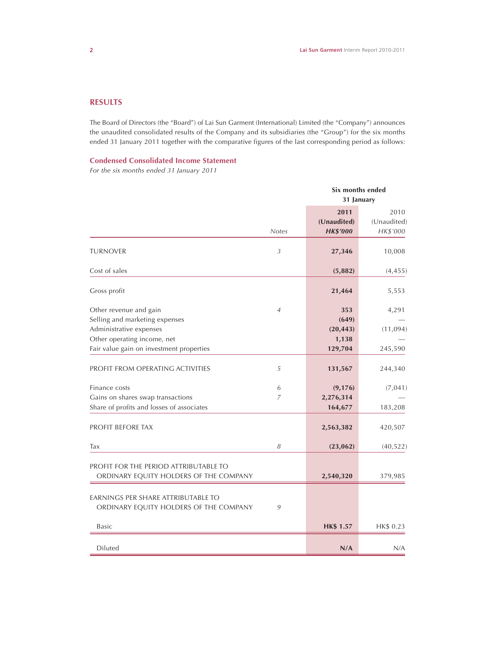# **RESULTS**

The Board of Directors (the "Board") of Lai Sun Garment (International) Limited (the "Company") announces the unaudited consolidated results of the Company and its subsidiaries (the "Group") for the six months ended 31 January 2011 together with the comparative figures of the last corresponding period as follows:

# **Condensed Consolidated Income Statement**

*For the six months ended 31 January 2011*

|                                                                                                                    |                | Six months ended<br>31 January         |                                 |
|--------------------------------------------------------------------------------------------------------------------|----------------|----------------------------------------|---------------------------------|
|                                                                                                                    | <b>Notes</b>   | 2011<br>(Unaudited)<br><b>HK\$'000</b> | 2010<br>(Unaudited)<br>HK\$'000 |
| <b>TURNOVER</b>                                                                                                    | 3              | 27,346                                 | 10,008                          |
| Cost of sales                                                                                                      |                | (5,882)                                | (4, 455)                        |
| Gross profit                                                                                                       |                | 21,464                                 | 5,553                           |
| Other revenue and gain<br>Selling and marketing expenses<br>Administrative expenses<br>Other operating income, net | $\overline{4}$ | 353<br>(649)<br>(20, 443)<br>1,138     | 4,291<br>(11,094)               |
| Fair value gain on investment properties                                                                           |                | 129,704                                | 245,590                         |
| PROFIT FROM OPERATING ACTIVITIES                                                                                   | 5              | 131,567                                | 244,340                         |
| Finance costs<br>Gains on shares swap transactions<br>Share of profits and losses of associates                    | 6<br>7         | (9, 176)<br>2,276,314<br>164,677       | (7,041)<br>183,208              |
| PROFIT BEFORE TAX                                                                                                  |                | 2,563,382                              | 420,507                         |
| Tax                                                                                                                | 8              | (23, 062)                              | (40, 522)                       |
| PROFIT FOR THE PERIOD ATTRIBUTABLE TO<br>ORDINARY EQUITY HOLDERS OF THE COMPANY                                    |                | 2,540,320                              | 379,985                         |
| EARNINGS PER SHARE ATTRIBUTABLE TO<br>ORDINARY EQUITY HOLDERS OF THE COMPANY                                       | 9              |                                        |                                 |
| <b>Basic</b>                                                                                                       |                | <b>HK\$ 1.57</b>                       | HK\$ 0.23                       |
| Diluted                                                                                                            |                | N/A                                    | N/A                             |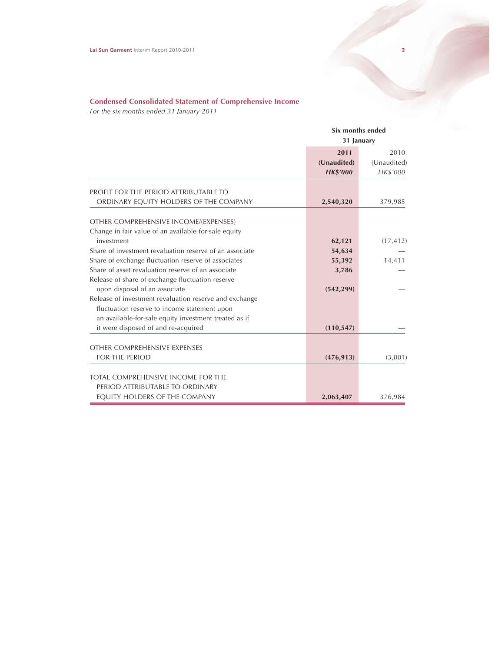# **Condensed Consolidated Statement of Comprehensive Income**

*For the six months ended 31 January 2011*

|                                                                                               |                                        | Six months ended<br>31 January  |
|-----------------------------------------------------------------------------------------------|----------------------------------------|---------------------------------|
|                                                                                               | 2011<br>(Unaudited)<br><b>HK\$'000</b> | 2010<br>(Unaudited)<br>HK\$'000 |
| PROFIT FOR THE PERIOD ATTRIBUTABLE TO                                                         |                                        |                                 |
| ORDINARY EQUITY HOLDERS OF THE COMPANY                                                        | 2,540,320                              | 379,985                         |
| OTHER COMPREHENSIVE INCOME/(EXPENSES)<br>Change in fair value of an available-for-sale equity |                                        |                                 |
| investment                                                                                    | 62,121                                 | (17, 412)                       |
| Share of investment revaluation reserve of an associate                                       | 54,634                                 |                                 |
| Share of exchange fluctuation reserve of associates                                           | 55,392                                 | 14,411                          |
| Share of asset revaluation reserve of an associate                                            | 3,786                                  |                                 |
| Release of share of exchange fluctuation reserve                                              |                                        |                                 |
| upon disposal of an associate                                                                 | (542, 299)                             |                                 |
| Release of investment revaluation reserve and exchange                                        |                                        |                                 |
| fluctuation reserve to income statement upon                                                  |                                        |                                 |
| an available-for-sale equity investment treated as if                                         |                                        |                                 |
| it were disposed of and re-acquired                                                           | (110, 547)                             |                                 |
| OTHER COMPREHENSIVE EXPENSES                                                                  |                                        |                                 |
| FOR THE PERIOD                                                                                | (476, 913)                             | (3,001)                         |
| TOTAL COMPREHENSIVE INCOME FOR THE                                                            |                                        |                                 |
| PERIOD ATTRIBUTABLE TO ORDINARY                                                               |                                        |                                 |
| EQUITY HOLDERS OF THE COMPANY                                                                 | 2,063,407                              | 376,984                         |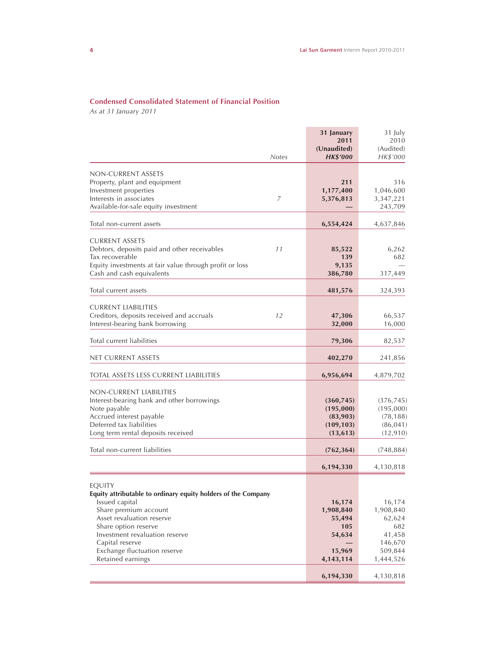# **Condensed Consolidated Statement of Financial Position**

*As at 31 January 2011*

| <b>Notes</b>                                                                   | 31 January<br>2011<br>(Unaudited)<br><b>HK\$'000</b> | 31 July<br>2010<br>(Audited)<br>HK\$'000 |
|--------------------------------------------------------------------------------|------------------------------------------------------|------------------------------------------|
|                                                                                |                                                      |                                          |
| NON-CURRENT ASSETS                                                             |                                                      |                                          |
| Property, plant and equipment                                                  | 211                                                  | 316                                      |
| Investment properties                                                          | 1,177,400                                            | 1,046,600                                |
| Interests in associates<br>7                                                   | 5,376,813                                            | 3,347,221                                |
| Available-for-sale equity investment                                           |                                                      | 243,709                                  |
| Total non-current assets                                                       | 6,554,424                                            | 4,637,846                                |
|                                                                                |                                                      |                                          |
| <b>CURRENT ASSETS</b>                                                          |                                                      |                                          |
| Debtors, deposits paid and other receivables<br>11                             | 85,522                                               | 6,262                                    |
| Tax recoverable                                                                | 139                                                  | 682                                      |
| Equity investments at fair value through profit or loss                        | 9,135                                                |                                          |
| Cash and cash equivalents                                                      | 386,780                                              | 317,449                                  |
| Total current assets                                                           | 481,576                                              | 324,393                                  |
|                                                                                |                                                      |                                          |
| <b>CURRENT LIABILITIES</b>                                                     |                                                      |                                          |
| Creditors, deposits received and accruals<br>12                                | 47,306                                               | 66,537                                   |
| Interest-bearing bank borrowing                                                | 32,000                                               | 16,000                                   |
| Total current liabilities                                                      | 79,306                                               | 82,537                                   |
| NET CURRENT ASSETS                                                             | 402,270                                              | 241,856                                  |
| <b>TOTAL ASSETS LESS CURRENT LIABILITIES</b>                                   | 6,956,694                                            | 4,879,702                                |
|                                                                                |                                                      |                                          |
| NON-CURRENT LIABILITIES                                                        |                                                      |                                          |
| Interest-bearing bank and other borrowings                                     | (360, 745)                                           | (376, 745)                               |
| Note payable                                                                   | (195,000)                                            | (195,000)                                |
| Accrued interest payable                                                       | (83,903)                                             | (78, 188)                                |
| Deferred tax liabilities                                                       | (109, 103)                                           | (86, 041)                                |
| Long term rental deposits received                                             | (13, 613)                                            | (12, 910)                                |
| Total non-current liabilities                                                  | (762, 364)                                           | (748, 884)                               |
|                                                                                | 6,194,330                                            | 4,130,818                                |
|                                                                                |                                                      |                                          |
| <b>EQUITY</b><br>Equity attributable to ordinary equity holders of the Company |                                                      |                                          |
| Issued capital                                                                 | 16,174                                               | 16,174                                   |
| Share premium account                                                          | 1,908,840                                            | 1,908,840                                |
| Asset revaluation reserve                                                      | 55,494                                               | 62,624                                   |
| Share option reserve                                                           | 105                                                  | 682                                      |
| Investment revaluation reserve                                                 | 54,634                                               | 41,458                                   |
| Capital reserve                                                                |                                                      | 146,670                                  |
| Exchange fluctuation reserve                                                   | 15,969                                               | 509,844                                  |
| Retained earnings                                                              | 4, 143, 114                                          | 1,444,526                                |
|                                                                                |                                                      |                                          |
|                                                                                | 6,194,330                                            | 4,130,818                                |

Ė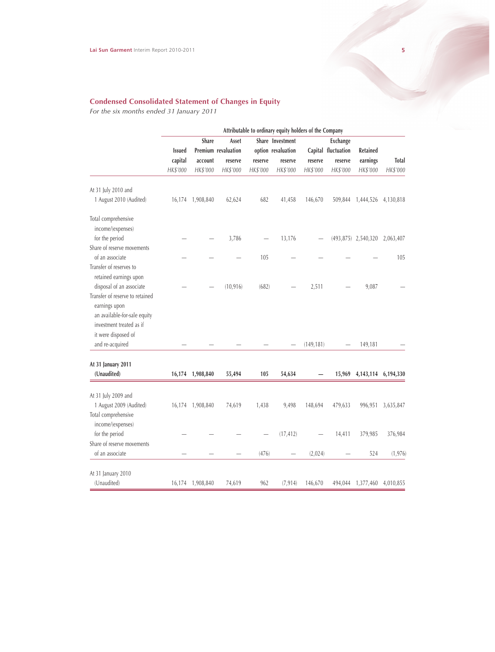### **Condensed Consolidated Statement of Changes in Equity**

*For the six months ended 31 January 2011*

|                                                                                                                                     | Attributable to ordinary equity holders of the Company |                                       |                     |                                        |                     |                                        |                     |                               |                          |
|-------------------------------------------------------------------------------------------------------------------------------------|--------------------------------------------------------|---------------------------------------|---------------------|----------------------------------------|---------------------|----------------------------------------|---------------------|-------------------------------|--------------------------|
|                                                                                                                                     | <b>Issued</b>                                          | Share<br>Asset<br>Premium revaluation |                     | Share Investment<br>option revaluation |                     | <b>Exchange</b><br>Capital fluctuation | Retained            |                               |                          |
|                                                                                                                                     | capital<br>HK\$'000                                    | account<br>HK\$'000                   | reserve<br>HK\$'000 | reserve<br>HK\$'000                    | reserve<br>HK\$'000 | reserve<br>HK\$'000                    | reserve<br>HK\$'000 | earnings<br>HK\$'000          | <b>Total</b><br>HK\$'000 |
| At 31 July 2010 and                                                                                                                 |                                                        |                                       |                     |                                        |                     |                                        |                     |                               |                          |
| 1 August 2010 (Audited)                                                                                                             |                                                        | 16,174 1,908,840                      | 62,624              | 682                                    | 41,458              | 146,670                                | 509,844             | 1,444,526                     | 4,130,818                |
| Total comprehensive<br>income/(expenses)                                                                                            |                                                        |                                       |                     |                                        |                     |                                        |                     |                               |                          |
| for the period<br>Share of reserve movements                                                                                        |                                                        |                                       | 3,786               |                                        | 13,176              |                                        |                     | (493,875) 2,540,320 2,063,407 |                          |
| of an associate                                                                                                                     |                                                        |                                       |                     | 105                                    |                     |                                        |                     |                               | 105                      |
| Transfer of reserves to<br>retained earnings upon                                                                                   |                                                        |                                       |                     |                                        |                     |                                        |                     |                               |                          |
| disposal of an associate                                                                                                            |                                                        |                                       | (10, 916)           | (682)                                  |                     | 2,511                                  |                     | 9,087                         |                          |
| Transfer of reserve to retained<br>earnings upon<br>an available-for-sale equity<br>investment treated as if<br>it were disposed of |                                                        |                                       |                     |                                        |                     |                                        |                     |                               |                          |
| and re-acquired                                                                                                                     |                                                        |                                       |                     |                                        |                     | (149, 181)                             |                     | 149,181                       |                          |
| At 31 January 2011                                                                                                                  |                                                        |                                       |                     |                                        |                     |                                        |                     |                               |                          |
| (Unaudited)                                                                                                                         |                                                        | 16,174 1,908,840                      | 55,494              | 105                                    | 54,634              |                                        | 15,969              |                               | 4, 143, 114 6, 194, 330  |
| At 31 July 2009 and                                                                                                                 |                                                        |                                       |                     |                                        |                     |                                        |                     |                               |                          |
| 1 August 2009 (Audited)<br>Total comprehensive<br>income/(expenses)                                                                 |                                                        | 16,174 1,908,840                      | 74,619              | 1,438                                  | 9,498               | 148,694                                | 479,633             | 996,951                       | 3,635,847                |
| for the period                                                                                                                      |                                                        |                                       |                     |                                        | (17, 412)           |                                        | 14,411              | 379,985                       | 376,984                  |
| Share of reserve movements                                                                                                          |                                                        |                                       |                     |                                        |                     |                                        |                     |                               |                          |
| of an associate                                                                                                                     |                                                        |                                       |                     | (476)                                  |                     | (2,024)                                |                     | 524                           | (1, 976)                 |
| At 31 January 2010                                                                                                                  |                                                        |                                       |                     |                                        |                     |                                        |                     |                               |                          |
| (Unaudited)                                                                                                                         |                                                        | 16,174 1,908,840                      | 74,619              | 962                                    | (7, 914)            | 146,670                                |                     | 494,044 1,377,460 4,010,855   |                          |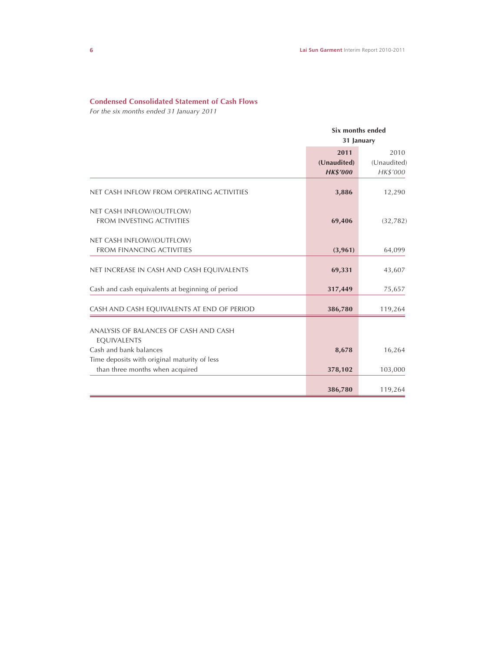# **Condensed Consolidated Statement of Cash Flows**

*For the six months ended 31 January 2011*

|                                                                                 | Six months ended<br>31 January         |                                 |  |
|---------------------------------------------------------------------------------|----------------------------------------|---------------------------------|--|
|                                                                                 | 2011<br>(Unaudited)<br><b>HK\$'000</b> | 2010<br>(Unaudited)<br>HK\$'000 |  |
| NET CASH INFLOW FROM OPERATING ACTIVITIES                                       | 3,886                                  | 12,290                          |  |
| NET CASH INFLOW/(OUTFLOW)<br>FROM INVESTING ACTIVITIES                          | 69,406                                 | (32, 782)                       |  |
| NET CASH INFLOW/(OUTFLOW)<br><b>FROM FINANCING ACTIVITIES</b>                   | (3,961)                                | 64,099                          |  |
| NET INCREASE IN CASH AND CASH EQUIVALENTS                                       | 69,331                                 | 43,607                          |  |
| Cash and cash equivalents at beginning of period                                | 317,449                                | 75,657                          |  |
| CASH AND CASH EQUIVALENTS AT END OF PERIOD                                      | 386,780                                | 119,264                         |  |
| ANALYSIS OF BALANCES OF CASH AND CASH<br>EQUIVALENTS                            |                                        |                                 |  |
| Cash and bank balances                                                          | 8,678                                  | 16,264                          |  |
| Time deposits with original maturity of less<br>than three months when acquired | 378,102                                | 103,000                         |  |
|                                                                                 | 386,780                                | 119,264                         |  |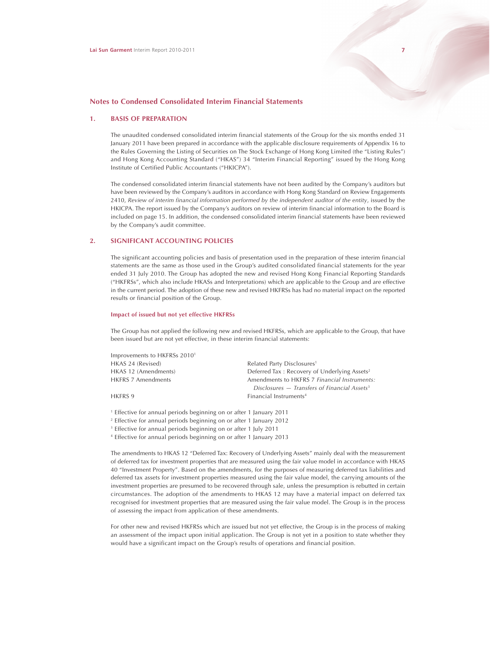#### **1. BASIS OF PREPARATION**

The unaudited condensed consolidated interim financial statements of the Group for the six months ended 31 January 2011 have been prepared in accordance with the applicable disclosure requirements of Appendix 16 to the Rules Governing the Listing of Securities on The Stock Exchange of Hong Kong Limited (the "Listing Rules") and Hong Kong Accounting Standard ("HKAS") 34 "Interim Financial Reporting" issued by the Hong Kong Institute of Certified Public Accountants ("HKICPA").

The condensed consolidated interim financial statements have not been audited by the Company's auditors but have been reviewed by the Company's auditors in accordance with Hong Kong Standard on Review Engagements 2410, *Review of interim financial information performed by the independent auditor of the entity*, issued by the HKICPA. The report issued by the Company's auditors on review of interim financial information to the Board is included on page 15. In addition, the condensed consolidated interim financial statements have been reviewed by the Company's audit committee.

### **2. SIGNIFICANT ACCOUNTING POLICIES**

The significant accounting policies and basis of presentation used in the preparation of these interim financial statements are the same as those used in the Group's audited consolidated financial statements for the year ended 31 July 2010. The Group has adopted the new and revised Hong Kong Financial Reporting Standards ("HKFRSs", which also include HKASs and Interpretations) which are applicable to the Group and are effective in the current period. The adoption of these new and revised HKFRSs has had no material impact on the reported results or financial position of the Group.

#### **Impact of issued but not yet effective HKFRSs**

The Group has not applied the following new and revised HKFRSs, which are applicable to the Group, that have been issued but are not yet effective, in these interim financial statements:

| Related Party Disclosures <sup>1</sup>                     |
|------------------------------------------------------------|
| Deferred Tax: Recovery of Underlying Assets <sup>2</sup>   |
| Amendments to HKFRS 7 Financial Instruments:               |
| Disclosures $-$ Transfers of Financial Assets <sup>3</sup> |
| Financial Instruments <sup>4</sup>                         |
|                                                            |

1 Effective for annual periods beginning on or after 1 January 2011

2 Effective for annual periods beginning on or after 1 January 2012

<sup>3</sup> Effective for annual periods beginning on or after 1 July 2011

4 Effective for annual periods beginning on or after 1 January 2013

The amendments to HKAS 12 "Deferred Tax: Recovery of Underlying Assets" mainly deal with the measurement of deferred tax for investment properties that are measured using the fair value model in accordance with HKAS 40 "Investment Property". Based on the amendments, for the purposes of measuring deferred tax liabilities and deferred tax assets for investment properties measured using the fair value model, the carrying amounts of the investment properties are presumed to be recovered through sale, unless the presumption is rebutted in certain circumstances. The adoption of the amendments to HKAS 12 may have a material impact on deferred tax recognised for investment properties that are measured using the fair value model. The Group is in the process of assessing the impact from application of these amendments.

For other new and revised HKFRSs which are issued but not yet effective, the Group is in the process of making an assessment of the impact upon initial application. The Group is not yet in a position to state whether they would have a significant impact on the Group's results of operations and financial position.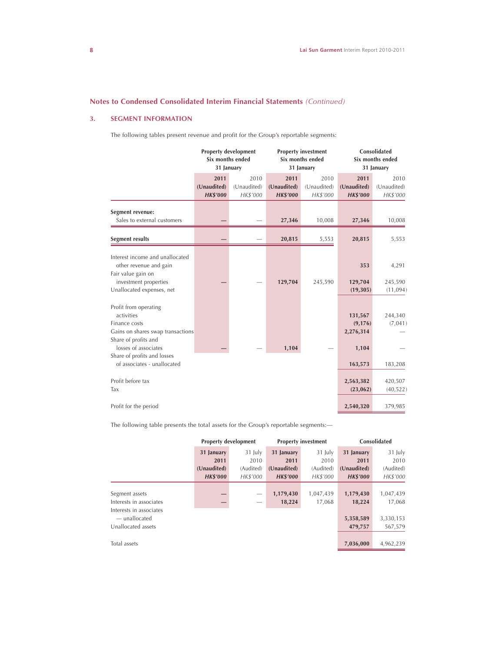# **3. SEGMENT INFORMATION**

The following tables present revenue and profit for the Group's reportable segments:

|                                                                                                                                                                                                         | <b>Property development</b><br>Six months ended<br>31 January |                                 | <b>Property investment</b><br>Six months ended<br>31 January |                                 | Consolidated<br>Six months ended<br>31 January       |                                 |
|---------------------------------------------------------------------------------------------------------------------------------------------------------------------------------------------------------|---------------------------------------------------------------|---------------------------------|--------------------------------------------------------------|---------------------------------|------------------------------------------------------|---------------------------------|
|                                                                                                                                                                                                         | 2011<br>(Unaudited)<br><b>HK\$'000</b>                        | 2010<br>(Unaudited)<br>HK\$'000 | 2011<br>(Unaudited)<br><b>HK\$'000</b>                       | 2010<br>(Unaudited)<br>HK\$'000 | 2011<br>(Unaudited)<br><b>HK\$'000</b>               | 2010<br>(Unaudited)<br>HK\$'000 |
| Segment revenue:<br>Sales to external customers                                                                                                                                                         |                                                               |                                 | 27,346                                                       | 10,008                          | 27,346                                               | 10,008                          |
| Segment results                                                                                                                                                                                         |                                                               |                                 | 20,815                                                       | 5,553                           | 20,815                                               | 5,553                           |
| Interest income and unallocated<br>other revenue and gain<br>Fair value gain on<br>investment properties<br>Unallocated expenses, net                                                                   |                                                               |                                 | 129,704                                                      | 245,590                         | 353<br>129,704<br>(19, 305)                          | 4,291<br>245,590<br>(11, 094)   |
| Profit from operating<br>activities<br>Finance costs<br>Gains on shares swap transactions<br>Share of profits and<br>losses of associates<br>Share of profits and losses<br>of associates - unallocated |                                                               |                                 | 1,104                                                        |                                 | 131,567<br>(9, 176)<br>2,276,314<br>1,104<br>163,573 | 244,340<br>(7,041)<br>183,208   |
| Profit before tax<br>Tax                                                                                                                                                                                |                                                               |                                 |                                                              |                                 | 2,563,382<br>(23,062)                                | 420,507<br>(40, 522)            |
| Profit for the period                                                                                                                                                                                   |                                                               |                                 |                                                              |                                 | 2,540,320                                            | 379,985                         |

The following table presents the total assets for the Group's reportable segments:—

|                         | <b>Property development</b> |           |                 | <b>Property investment</b> | Consolidated    |           |
|-------------------------|-----------------------------|-----------|-----------------|----------------------------|-----------------|-----------|
|                         | 31 January                  | 31 July   | 31 January      | 31 July                    | 31 January      | 31 July   |
|                         | 2011                        | 2010      | 2011            | 2010                       | 2011            | 2010      |
|                         | (Unaudited)                 | (Audited) | (Unaudited)     | (Audited)                  | (Unaudited)     | (Audited) |
|                         | <b>HK\$'000</b>             | HK\$'000  | <b>HK\$'000</b> | HK\$'000                   | <b>HK\$'000</b> | HK\$'000  |
|                         |                             |           |                 |                            |                 |           |
| Segment assets          |                             |           | 1,179,430       | 1,047,439                  | 1,179,430       | 1,047,439 |
| Interests in associates |                             | -         | 18,224          | 17,068                     | 18,224          | 17,068    |
| Interests in associates |                             |           |                 |                            |                 |           |
| — unallocated           |                             |           |                 |                            | 5,358,589       | 3,330,153 |
| Unallocated assets      |                             |           |                 |                            | 479,757         | 567,579   |
|                         |                             |           |                 |                            |                 |           |
| Total assets            |                             |           |                 |                            | 7,036,000       | 4,962,239 |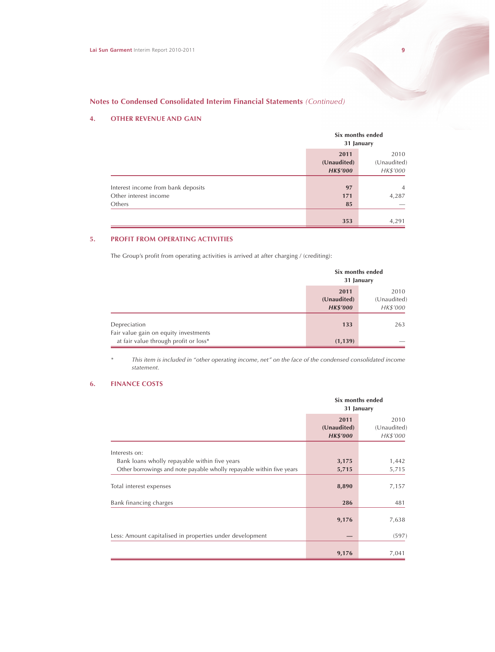# **4. OTHER REVENUE AND GAIN**

|                                                                       |                                        | Six months ended<br>31 January  |  |  |
|-----------------------------------------------------------------------|----------------------------------------|---------------------------------|--|--|
|                                                                       | 2011<br>(Unaudited)<br><b>HK\$'000</b> | 2010<br>(Unaudited)<br>HK\$'000 |  |  |
| Interest income from bank deposits<br>Other interest income<br>Others | 97<br>171<br>85                        | $\overline{4}$<br>4,287         |  |  |
|                                                                       | 353                                    | 4,291                           |  |  |

# **5. PROFIT FROM OPERATING ACTIVITIES**

The Group's profit from operating activities is arrived at after charging / (crediting):

|                                                       | Six months ended<br>31 January         |                                 |  |
|-------------------------------------------------------|----------------------------------------|---------------------------------|--|
|                                                       | 2011<br>(Unaudited)<br><b>HK\$'000</b> | 2010<br>(Unaudited)<br>HK\$'000 |  |
| Depreciation<br>Fair value gain on equity investments | 133                                    | 263                             |  |
| at fair value through profit or loss*                 | (1, 139)                               |                                 |  |

*\* This item is included in "other operating income, net" on the face of the condensed consolidated income statement.*

# **6. FINANCE COSTS**

|                                                                      | Six months ended<br>31 January         |                                 |  |
|----------------------------------------------------------------------|----------------------------------------|---------------------------------|--|
|                                                                      | 2011<br>(Unaudited)<br><b>HK\$'000</b> | 2010<br>(Unaudited)<br>HK\$'000 |  |
| Interests on:                                                        |                                        |                                 |  |
| Bank loans wholly repayable within five years                        | 3,175                                  | 1,442                           |  |
| Other borrowings and note payable wholly repayable within five years | 5,715                                  | 5,715                           |  |
| Total interest expenses                                              | 8,890                                  | 7,157                           |  |
| Bank financing charges                                               | 286                                    | 481                             |  |
|                                                                      | 9,176                                  | 7,638                           |  |
| Less: Amount capitalised in properties under development             |                                        | (597)                           |  |
|                                                                      | 9,176                                  | 7,041                           |  |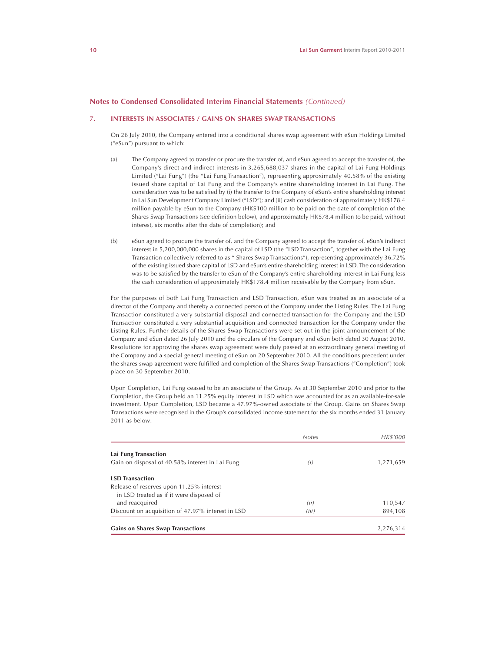# **7. INTERESTS IN ASSOCIATES / GAINS ON SHARES SWAP TRANSACTIONS**

On 26 July 2010, the Company entered into a conditional shares swap agreement with eSun Holdings Limited ("eSun") pursuant to which:

- (a) The Company agreed to transfer or procure the transfer of, and eSun agreed to accept the transfer of, the Company's direct and indirect interests in 3,265,688,037 shares in the capital of Lai Fung Holdings Limited ("Lai Fung") (the "Lai Fung Transaction"), representing approximately 40.58% of the existing issued share capital of Lai Fung and the Company's entire shareholding interest in Lai Fung. The consideration was to be satisfied by (i) the transfer to the Company of eSun's entire shareholding interest in Lai Sun Development Company Limited ("LSD"); and (ii) cash consideration of approximately HK\$178.4 million payable by eSun to the Company (HK\$100 million to be paid on the date of completion of the Shares Swap Transactions (see definition below), and approximately HK\$78.4 million to be paid, without interest, six months after the date of completion); and
- (b) eSun agreed to procure the transfer of, and the Company agreed to accept the transfer of, eSun's indirect interest in 5,200,000,000 shares in the capital of LSD (the "LSD Transaction", together with the Lai Fung Transaction collectively referred to as " Shares Swap Transactions"), representing approximately 36.72% of the existing issued share capital of LSD and eSun's entire shareholding interest in LSD. The consideration was to be satisfied by the transfer to eSun of the Company's entire shareholding interest in Lai Fung less the cash consideration of approximately HK\$178.4 million receivable by the Company from eSun.

For the purposes of both Lai Fung Transaction and LSD Transaction, eSun was treated as an associate of a director of the Company and thereby a connected person of the Company under the Listing Rules. The Lai Fung Transaction constituted a very substantial disposal and connected transaction for the Company and the LSD Transaction constituted a very substantial acquisition and connected transaction for the Company under the Listing Rules. Further details of the Shares Swap Transactions were set out in the joint announcement of the Company and eSun dated 26 July 2010 and the circulars of the Company and eSun both dated 30 August 2010. Resolutions for approving the shares swap agreement were duly passed at an extraordinary general meeting of the Company and a special general meeting of eSun on 20 September 2010. All the conditions precedent under the shares swap agreement were fulfilled and completion of the Shares Swap Transactions ("Completion") took place on 30 September 2010.

Upon Completion, Lai Fung ceased to be an associate of the Group. As at 30 September 2010 and prior to the Completion, the Group held an 11.25% equity interest in LSD which was accounted for as an available-for-sale investment. Upon Completion, LSD became a 47.97%-owned associate of the Group. Gains on Shares Swap Transactions were recognised in the Group's consolidated income statement for the six months ended 31 January 2011 as below:

|                                                   | <b>Notes</b> | HK\$'000  |
|---------------------------------------------------|--------------|-----------|
| Lai Fung Transaction                              |              |           |
| Gain on disposal of 40.58% interest in Lai Fung   | (i)          | 1,271,659 |
| <b>LSD Transaction</b>                            |              |           |
| Release of reserves upon 11.25% interest          |              |           |
| in LSD treated as if it were disposed of          |              |           |
| and reacquired                                    | (ii)         | 110,547   |
| Discount on acquisition of 47.97% interest in LSD | (iii)        | 894,108   |
| <b>Gains on Shares Swap Transactions</b>          |              | 2,276,314 |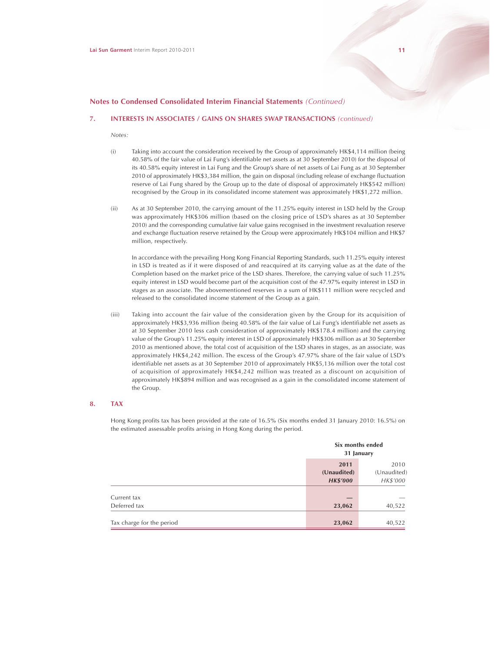### **7. INTERESTS IN ASSOCIATES / GAINS ON SHARES SWAP TRANSACTIONS** *(continued)*

*Notes:*

- (i) Taking into account the consideration received by the Group of approximately HK\$4,114 million (being 40.58% of the fair value of Lai Fung's identifiable net assets as at 30 September 2010) for the disposal of its 40.58% equity interest in Lai Fung and the Group's share of net assets of Lai Fung as at 30 September 2010 of approximately HK\$3,384 million, the gain on disposal (including release of exchange fluctuation reserve of Lai Fung shared by the Group up to the date of disposal of approximately HK\$542 million) recognised by the Group in its consolidated income statement was approximately HK\$1,272 million.
- (ii) As at 30 September 2010, the carrying amount of the 11.25% equity interest in LSD held by the Group was approximately HK\$306 million (based on the closing price of LSD's shares as at 30 September 2010) and the corresponding cumulative fair value gains recognised in the investment revaluation reserve and exchange fluctuation reserve retained by the Group were approximately HK\$104 million and HK\$7 million, respectively.

In accordance with the prevailing Hong Kong Financial Reporting Standards, such 11.25% equity interest in LSD is treated as if it were disposed of and reacquired at its carrying value as at the date of the Completion based on the market price of the LSD shares. Therefore, the carrying value of such 11.25% equity interest in LSD would become part of the acquisition cost of the 47.97% equity interest in LSD in stages as an associate. The abovementioned reserves in a sum of HK\$111 million were recycled and released to the consolidated income statement of the Group as a gain.

(iii) Taking into account the fair value of the consideration given by the Group for its acquisition of approximately HK\$3,936 million (being 40.58% of the fair value of Lai Fung's identifiable net assets as at 30 September 2010 less cash consideration of approximately HK\$178.4 million) and the carrying value of the Group's 11.25% equity interest in LSD of approximately HK\$306 million as at 30 September 2010 as mentioned above, the total cost of acquisition of the LSD shares in stages, as an associate, was approximately HK\$4,242 million. The excess of the Group's 47.97% share of the fair value of LSD's identifiable net assets as at 30 September 2010 of approximately HK\$5,136 million over the total cost of acquisition of approximately HK\$4,242 million was treated as a discount on acquisition of approximately HK\$894 million and was recognised as a gain in the consolidated income statement of the Group.

# **8. TAX**

Hong Kong profits tax has been provided at the rate of 16.5% (Six months ended 31 January 2010: 16.5%) on the estimated assessable profits arising in Hong Kong during the period.

|                             |                                        | Six months ended<br>31 January  |
|-----------------------------|----------------------------------------|---------------------------------|
|                             | 2011<br>(Unaudited)<br><b>HK\$'000</b> | 2010<br>(Unaudited)<br>HK\$'000 |
| Current tax<br>Deferred tax | 23,062                                 | 40,522                          |
| Tax charge for the period   | 23,062                                 | 40,522                          |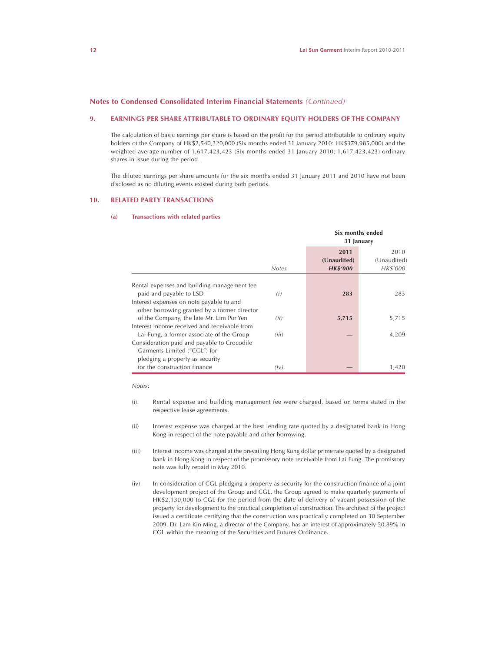#### **9. EARNINGS PER SHARE ATTRIBUTABLE TO ORDINARY EQUITY HOLDERS OF THE COMPANY**

The calculation of basic earnings per share is based on the profit for the period attributable to ordinary equity holders of the Company of HK\$2,540,320,000 (Six months ended 31 January 2010: HK\$379,985,000) and the weighted average number of 1,617,423,423 (Six months ended 31 January 2010: 1,617,423,423) ordinary shares in issue during the period.

The diluted earnings per share amounts for the six months ended 31 January 2011 and 2010 have not been disclosed as no diluting events existed during both periods.

#### **10. RELATED PARTY TRANSACTIONS**

#### **(a) Transactions with related parties**

|                                              |              | Six months ended<br>31 January         |                                 |
|----------------------------------------------|--------------|----------------------------------------|---------------------------------|
|                                              | <b>Notes</b> | 2011<br>(Unaudited)<br><b>HK\$'000</b> | 2010<br>(Unaudited)<br>HK\$'000 |
| Rental expenses and building management fee  |              |                                        |                                 |
| paid and payable to LSD                      | (i)          | 283                                    | 283                             |
| Interest expenses on note payable to and     |              |                                        |                                 |
| other borrowing granted by a former director |              |                                        |                                 |
| of the Company, the late Mr. Lim Por Yen     | (ii)         | 5,715                                  | 5,715                           |
| Interest income received and receivable from |              |                                        |                                 |
| Lai Fung, a former associate of the Group    | (iii)        |                                        | 4,209                           |
| Consideration paid and payable to Crocodile  |              |                                        |                                 |
| Garments Limited ("CGL") for                 |              |                                        |                                 |
| pledging a property as security              |              |                                        |                                 |
| for the construction finance                 | (iv)         |                                        | 1,420                           |

*Notes:*

- (i) Rental expense and building management fee were charged, based on terms stated in the respective lease agreements.
- (ii) Interest expense was charged at the best lending rate quoted by a designated bank in Hong Kong in respect of the note payable and other borrowing.
- (iii) Interest income was charged at the prevailing Hong Kong dollar prime rate quoted by a designated bank in Hong Kong in respect of the promissory note receivable from Lai Fung. The promissory note was fully repaid in May 2010.
- (iv) In consideration of CGL pledging a property as security for the construction finance of a joint development project of the Group and CGL, the Group agreed to make quarterly payments of HK\$2,130,000 to CGL for the period from the date of delivery of vacant possession of the property for development to the practical completion of construction. The architect of the project issued a certificate certifying that the construction was practically completed on 30 September 2009. Dr. Lam Kin Ming, a director of the Company, has an interest of approximately 50.89% in CGL within the meaning of the Securities and Futures Ordinance.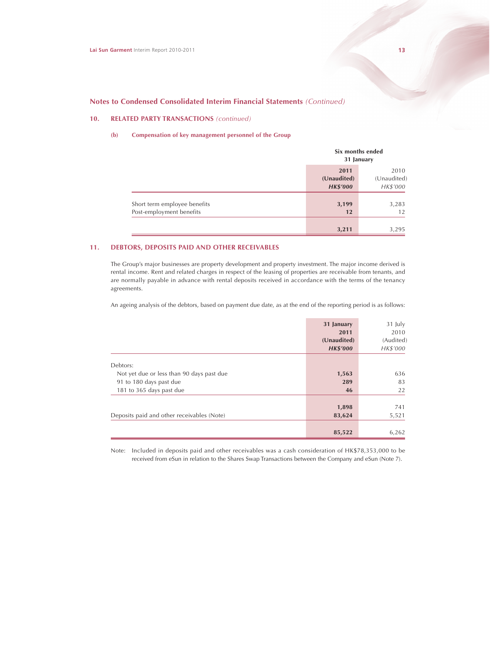# **10. RELATED PARTY TRANSACTIONS** *(continued)*

#### **(b) Compensation of key management personnel of the Group**

|                                                          |                                        | Six months ended<br>31 January  |  |  |
|----------------------------------------------------------|----------------------------------------|---------------------------------|--|--|
|                                                          | 2011<br>(Unaudited)<br><b>HK\$'000</b> | 2010<br>(Unaudited)<br>HK\$'000 |  |  |
| Short term employee benefits<br>Post-employment benefits | 3,199<br>12                            | 3,283<br>12                     |  |  |
|                                                          | 3,211                                  | 3,295                           |  |  |

# **11. DEBTORS, DEPOSITS PAID AND OTHER RECEIVABLES**

The Group's major businesses are property development and property investment. The major income derived is rental income. Rent and related charges in respect of the leasing of properties are receivable from tenants, and are normally payable in advance with rental deposits received in accordance with the terms of the tenancy agreements.

An ageing analysis of the debtors, based on payment due date, as at the end of the reporting period is as follows:

|                                            | 31 January<br>2011<br>(Unaudited)<br><b>HK\$'000</b> | 31 July<br>2010<br>(Audited)<br>HK\$'000 |
|--------------------------------------------|------------------------------------------------------|------------------------------------------|
| Debtors:                                   |                                                      |                                          |
| Not yet due or less than 90 days past due  | 1,563                                                | 636                                      |
| 91 to 180 days past due                    | 289                                                  | 83                                       |
| 181 to 365 days past due                   | 46                                                   | 22                                       |
|                                            | 1,898                                                | 741                                      |
| Deposits paid and other receivables (Note) | 83,624                                               | 5,521                                    |
|                                            | 85,522                                               | 6,262                                    |

Note: Included in deposits paid and other receivables was a cash consideration of HK\$78,353,000 to be received from eSun in relation to the Shares Swap Transactions between the Company and eSun (Note 7).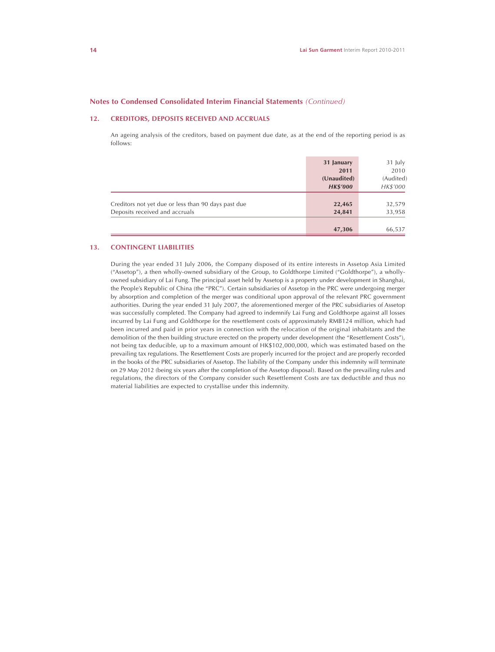# **12. CREDITORS, DEPOSITS RECEIVED AND ACCRUALS**

An ageing analysis of the creditors, based on payment due date, as at the end of the reporting period is as follows:

|                                                     | 31 January      | 31 July   |
|-----------------------------------------------------|-----------------|-----------|
|                                                     | 2011            | 2010      |
|                                                     | (Unaudited)     | (Audited) |
|                                                     | <b>HK\$'000</b> | HK\$'000  |
|                                                     |                 |           |
| Creditors not yet due or less than 90 days past due | 22,465          | 32,579    |
| Deposits received and accruals                      | 24,841          | 33,958    |
|                                                     |                 |           |
|                                                     | 47,306          | 66,537    |

### **13. CONTINGENT LIABILITIES**

During the year ended 31 July 2006, the Company disposed of its entire interests in Assetop Asia Limited ("Assetop"), a then wholly-owned subsidiary of the Group, to Goldthorpe Limited ("Goldthorpe"), a whollyowned subsidiary of Lai Fung. The principal asset held by Assetop is a property under development in Shanghai, the People's Republic of China (the "PRC"). Certain subsidiaries of Assetop in the PRC were undergoing merger by absorption and completion of the merger was conditional upon approval of the relevant PRC government authorities. During the year ended 31 July 2007, the aforementioned merger of the PRC subsidiaries of Assetop was successfully completed. The Company had agreed to indemnify Lai Fung and Goldthorpe against all losses incurred by Lai Fung and Goldthorpe for the resettlement costs of approximately RMB124 million, which had been incurred and paid in prior years in connection with the relocation of the original inhabitants and the demolition of the then building structure erected on the property under development (the "Resettlement Costs"), not being tax deducible, up to a maximum amount of HK\$102,000,000, which was estimated based on the prevailing tax regulations. The Resettlement Costs are properly incurred for the project and are properly recorded in the books of the PRC subsidiaries of Assetop. The liability of the Company under this indemnity will terminate on 29 May 2012 (being six years after the completion of the Assetop disposal). Based on the prevailing rules and regulations, the directors of the Company consider such Resettlement Costs are tax deductible and thus no material liabilities are expected to crystallise under this indemnity.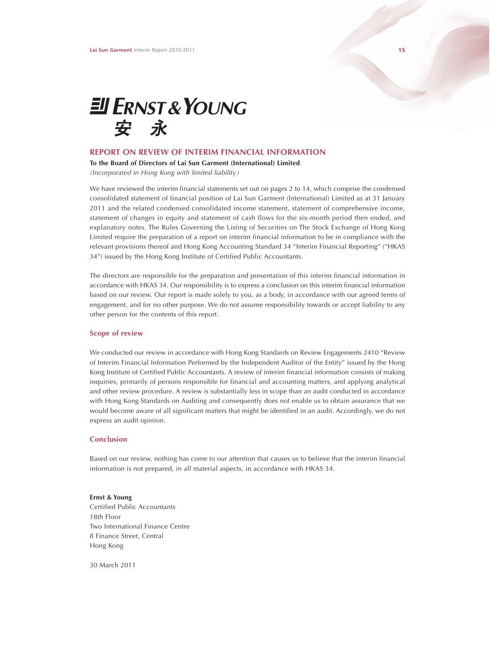

## **REPORT ON REVIEW OF INTERIM FINANCIAL INFORMATION**

**To the Board of Directors of Lai Sun Garment (International) Limited** *(Incorporated in Hong Kong with limited liability)*

We have reviewed the interim financial statements set out on pages 2 to 14, which comprise the condensed consolidated statement of financial position of Lai Sun Garment (International) Limited as at 31 January 2011 and the related condensed consolidated income statement, statement of comprehensive income, statement of changes in equity and statement of cash flows for the six-month period then ended, and explanatory notes. The Rules Governing the Listing of Securities on The Stock Exchange of Hong Kong Limited require the preparation of a report on interim financial information to be in compliance with the relevant provisions thereof and Hong Kong Accounting Standard 34 "Interim Financial Reporting" ("HKAS 34") issued by the Hong Kong Institute of Certified Public Accountants.

The directors are responsible for the preparation and presentation of this interim financial information in accordance with HKAS 34. Our responsibility is to express a conclusion on this interim financial information based on our review. Our report is made solely to you, as a body, in accordance with our agreed terms of engagement, and for no other purpose. We do not assume responsibility towards or accept liability to any other person for the contents of this report.

### **Scope of review**

We conducted our review in accordance with Hong Kong Standards on Review Engagements 2410 "Review of Interim Financial Information Performed by the Independent Auditor of the Entity" issued by the Hong Kong Institute of Certified Public Accountants. A review of interim financial information consists of making inquiries, primarily of persons responsible for financial and accounting matters, and applying analytical and other review procedure. A review is substantially less in scope than an audit conducted in accordance with Hong Kong Standards on Auditing and consequently does not enable us to obtain assurance that we would become aware of all significant matters that might be identified in an audit. Accordingly, we do not express an audit opinion.

#### **Conclusion**

Based on our review, nothing has come to our attention that causes us to believe that the interim financial information is not prepared, in all material aspects, in accordance with HKAS 34.

**Ernst & Young** Certified Public Accountants 18th Floor Two International Finance Centre 8 Finance Street, Central Hong Kong

30 March 2011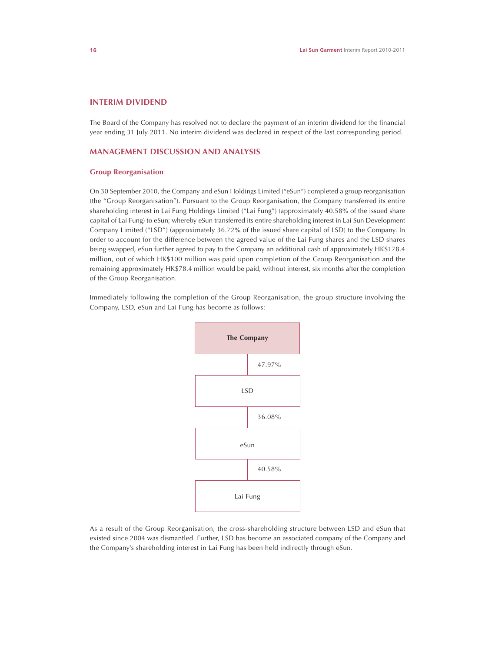# **INTERIM DIVIDEND**

The Board of the Company has resolved not to declare the payment of an interim dividend for the financial year ending 31 July 2011. No interim dividend was declared in respect of the last corresponding period.

# **MANAGEMENT DISCUSSION AND ANALYSIS**

# **Group Reorganisation**

On 30 September 2010, the Company and eSun Holdings Limited ("eSun") completed a group reorganisation (the "Group Reorganisation"). Pursuant to the Group Reorganisation, the Company transferred its entire shareholding interest in Lai Fung Holdings Limited ("Lai Fung") (approximately 40.58% of the issued share capital of Lai Fung) to eSun; whereby eSun transferred its entire shareholding interest in Lai Sun Development Company Limited ("LSD") (approximately 36.72% of the issued share capital of LSD) to the Company. In order to account for the difference between the agreed value of the Lai Fung shares and the LSD shares being swapped, eSun further agreed to pay to the Company an additional cash of approximately HK\$178.4 million, out of which HK\$100 million was paid upon completion of the Group Reorganisation and the remaining approximately HK\$78.4 million would be paid, without interest, six months after the completion of the Group Reorganisation.

Immediately following the completion of the Group Reorganisation, the group structure involving the Company, LSD, eSun and Lai Fung has become as follows:



As a result of the Group Reorganisation, the cross-shareholding structure between LSD and eSun that existed since 2004 was dismantled. Further, LSD has become an associated company of the Company and the Company's shareholding interest in Lai Fung has been held indirectly through eSun.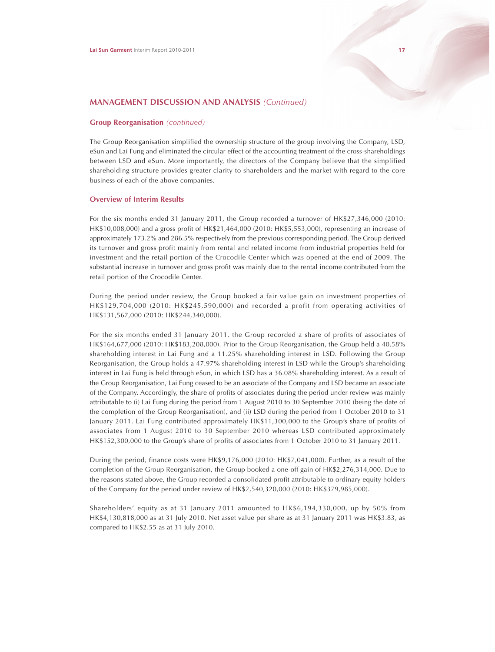# **Group Reorganisation** *(continued)*

The Group Reorganisation simplified the ownership structure of the group involving the Company, LSD, eSun and Lai Fung and eliminated the circular effect of the accounting treatment of the cross-shareholdings between LSD and eSun. More importantly, the directors of the Company believe that the simplified shareholding structure provides greater clarity to shareholders and the market with regard to the core business of each of the above companies.

# **Overview of Interim Results**

For the six months ended 31 January 2011, the Group recorded a turnover of HK\$27,346,000 (2010: HK\$10,008,000) and a gross profit of HK\$21,464,000 (2010: HK\$5,553,000), representing an increase of approximately 173.2% and 286.5% respectively from the previous corresponding period. The Group derived its turnover and gross profit mainly from rental and related income from industrial properties held for investment and the retail portion of the Crocodile Center which was opened at the end of 2009. The substantial increase in turnover and gross profit was mainly due to the rental income contributed from the retail portion of the Crocodile Center.

During the period under review, the Group booked a fair value gain on investment properties of HK\$129,704,000 (2010: HK\$245,590,000) and recorded a profit from operating activities of HK\$131,567,000 (2010: HK\$244,340,000).

For the six months ended 31 January 2011, the Group recorded a share of profits of associates of HK\$164,677,000 (2010: HK\$183,208,000). Prior to the Group Reorganisation, the Group held a 40.58% shareholding interest in Lai Fung and a 11.25% shareholding interest in LSD. Following the Group Reorganisation, the Group holds a 47.97% shareholding interest in LSD while the Group's shareholding interest in Lai Fung is held through eSun, in which LSD has a 36.08% shareholding interest. As a result of the Group Reorganisation, Lai Fung ceased to be an associate of the Company and LSD became an associate of the Company. Accordingly, the share of profits of associates during the period under review was mainly attributable to (i) Lai Fung during the period from 1 August 2010 to 30 September 2010 (being the date of the completion of the Group Reorganisation), and (ii) LSD during the period from 1 October 2010 to 31 January 2011. Lai Fung contributed approximately HK\$11,300,000 to the Group's share of profits of associates from 1 August 2010 to 30 September 2010 whereas LSD contributed approximately HK\$152,300,000 to the Group's share of profits of associates from 1 October 2010 to 31 January 2011.

During the period, finance costs were HK\$9,176,000 (2010: HK\$7,041,000). Further, as a result of the completion of the Group Reorganisation, the Group booked a one-off gain of HK\$2,276,314,000. Due to the reasons stated above, the Group recorded a consolidated profit attributable to ordinary equity holders of the Company for the period under review of HK\$2,540,320,000 (2010: HK\$379,985,000).

Shareholders' equity as at 31 January 2011 amounted to HK\$6,194,330,000, up by 50% from HK\$4,130,818,000 as at 31 July 2010. Net asset value per share as at 31 January 2011 was HK\$3.83, as compared to HK\$2.55 as at 31 July 2010.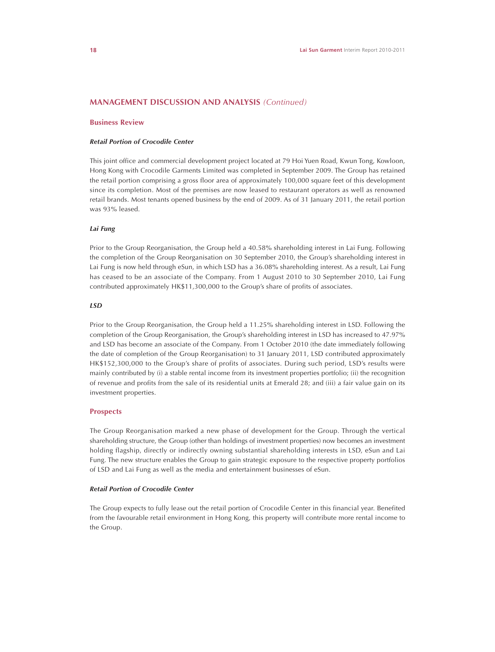# **Business Review**

### *Retail Portion of Crocodile Center*

This joint office and commercial development project located at 79 Hoi Yuen Road, Kwun Tong, Kowloon, Hong Kong with Crocodile Garments Limited was completed in September 2009. The Group has retained the retail portion comprising a gross floor area of approximately 100,000 square feet of this development since its completion. Most of the premises are now leased to restaurant operators as well as renowned retail brands. Most tenants opened business by the end of 2009. As of 31 January 2011, the retail portion was 93% leased.

# *Lai Fung*

Prior to the Group Reorganisation, the Group held a 40.58% shareholding interest in Lai Fung. Following the completion of the Group Reorganisation on 30 September 2010, the Group's shareholding interest in Lai Fung is now held through eSun, in which LSD has a 36.08% shareholding interest. As a result, Lai Fung has ceased to be an associate of the Company. From 1 August 2010 to 30 September 2010, Lai Fung contributed approximately HK\$11,300,000 to the Group's share of profits of associates.

### *LSD*

Prior to the Group Reorganisation, the Group held a 11.25% shareholding interest in LSD. Following the completion of the Group Reorganisation, the Group's shareholding interest in LSD has increased to 47.97% and LSD has become an associate of the Company. From 1 October 2010 (the date immediately following the date of completion of the Group Reorganisation) to 31 January 2011, LSD contributed approximately HK\$152,300,000 to the Group's share of profits of associates. During such period, LSD's results were mainly contributed by (i) a stable rental income from its investment properties portfolio; (ii) the recognition of revenue and profits from the sale of its residential units at Emerald 28; and (iii) a fair value gain on its investment properties.

# **Prospects**

The Group Reorganisation marked a new phase of development for the Group. Through the vertical shareholding structure, the Group (other than holdings of investment properties) now becomes an investment holding flagship, directly or indirectly owning substantial shareholding interests in LSD, eSun and Lai Fung. The new structure enables the Group to gain strategic exposure to the respective property portfolios of LSD and Lai Fung as well as the media and entertainment businesses of eSun.

### *Retail Portion of Crocodile Center*

The Group expects to fully lease out the retail portion of Crocodile Center in this financial year. Benefited from the favourable retail environment in Hong Kong, this property will contribute more rental income to the Group.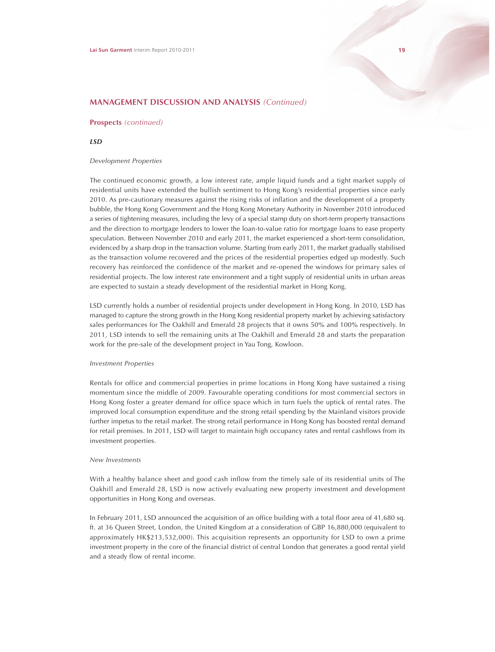### **Prospects** *(continued)*

### *LSD*

#### *Development Properties*

The continued economic growth, a low interest rate, ample liquid funds and a tight market supply of residential units have extended the bullish sentiment to Hong Kong's residential properties since early 2010. As pre-cautionary measures against the rising risks of inflation and the development of a property bubble, the Hong Kong Government and the Hong Kong Monetary Authority in November 2010 introduced a series of tightening measures, including the levy of a special stamp duty on short-term property transactions and the direction to mortgage lenders to lower the loan-to-value ratio for mortgage loans to ease property speculation. Between November 2010 and early 2011, the market experienced a short-term consolidation, evidenced by a sharp drop in the transaction volume. Starting from early 2011, the market gradually stabilised as the transaction volume recovered and the prices of the residential properties edged up modestly. Such recovery has reinforced the confidence of the market and re-opened the windows for primary sales of residential projects. The low interest rate environment and a tight supply of residential units in urban areas are expected to sustain a steady development of the residential market in Hong Kong.

LSD currently holds a number of residential projects under development in Hong Kong. In 2010, LSD has managed to capture the strong growth in the Hong Kong residential property market by achieving satisfactory sales performances for The Oakhill and Emerald 28 projects that it owns 50% and 100% respectively. In 2011, LSD intends to sell the remaining units at The Oakhill and Emerald 28 and starts the preparation work for the pre-sale of the development project in Yau Tong, Kowloon.

## *Investment Properties*

Rentals for office and commercial properties in prime locations in Hong Kong have sustained a rising momentum since the middle of 2009. Favourable operating conditions for most commercial sectors in Hong Kong foster a greater demand for office space which in turn fuels the uptick of rental rates. The improved local consumption expenditure and the strong retail spending by the Mainland visitors provide further impetus to the retail market. The strong retail performance in Hong Kong has boosted rental demand for retail premises. In 2011, LSD will target to maintain high occupancy rates and rental cashflows from its investment properties.

### *New Investments*

With a healthy balance sheet and good cash inflow from the timely sale of its residential units of The Oakhill and Emerald 28, LSD is now actively evaluating new property investment and development opportunities in Hong Kong and overseas.

In February 2011, LSD announced the acquisition of an office building with a total floor area of 41,680 sq. ft. at 36 Queen Street, London, the United Kingdom at a consideration of GBP 16,880,000 (equivalent to approximately HK\$213,532,000). This acquisition represents an opportunity for LSD to own a prime investment property in the core of the financial district of central London that generates a good rental yield and a steady flow of rental income.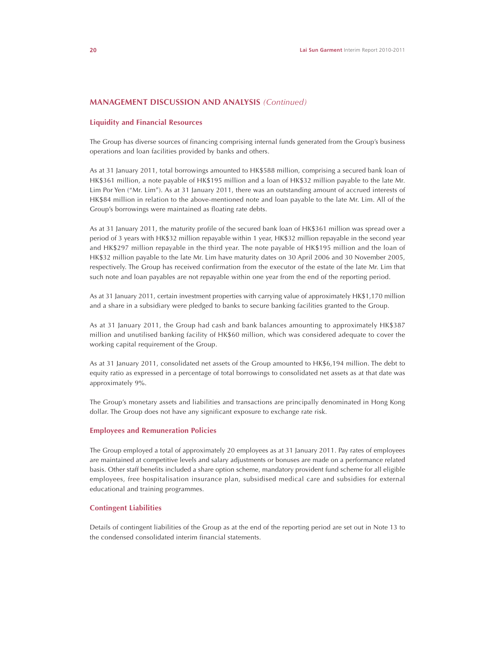# **Liquidity and Financial Resources**

The Group has diverse sources of financing comprising internal funds generated from the Group's business operations and loan facilities provided by banks and others.

As at 31 January 2011, total borrowings amounted to HK\$588 million, comprising a secured bank loan of HK\$361 million, a note payable of HK\$195 million and a loan of HK\$32 million payable to the late Mr. Lim Por Yen ("Mr. Lim"). As at 31 January 2011, there was an outstanding amount of accrued interests of HK\$84 million in relation to the above-mentioned note and loan payable to the late Mr. Lim. All of the Group's borrowings were maintained as floating rate debts.

As at 31 January 2011, the maturity profile of the secured bank loan of HK\$361 million was spread over a period of 3 years with HK\$32 million repayable within 1 year, HK\$32 million repayable in the second year and HK\$297 million repayable in the third year. The note payable of HK\$195 million and the loan of HK\$32 million payable to the late Mr. Lim have maturity dates on 30 April 2006 and 30 November 2005, respectively. The Group has received confirmation from the executor of the estate of the late Mr. Lim that such note and loan payables are not repayable within one year from the end of the reporting period.

As at 31 January 2011, certain investment properties with carrying value of approximately HK\$1,170 million and a share in a subsidiary were pledged to banks to secure banking facilities granted to the Group.

As at 31 January 2011, the Group had cash and bank balances amounting to approximately HK\$387 million and unutilised banking facility of HK\$60 million, which was considered adequate to cover the working capital requirement of the Group.

As at 31 January 2011, consolidated net assets of the Group amounted to HK\$6,194 million. The debt to equity ratio as expressed in a percentage of total borrowings to consolidated net assets as at that date was approximately 9%.

The Group's monetary assets and liabilities and transactions are principally denominated in Hong Kong dollar. The Group does not have any significant exposure to exchange rate risk.

# **Employees and Remuneration Policies**

The Group employed a total of approximately 20 employees as at 31 January 2011. Pay rates of employees are maintained at competitive levels and salary adjustments or bonuses are made on a performance related basis. Other staff benefits included a share option scheme, mandatory provident fund scheme for all eligible employees, free hospitalisation insurance plan, subsidised medical care and subsidies for external educational and training programmes.

# **Contingent Liabilities**

Details of contingent liabilities of the Group as at the end of the reporting period are set out in Note 13 to the condensed consolidated interim financial statements.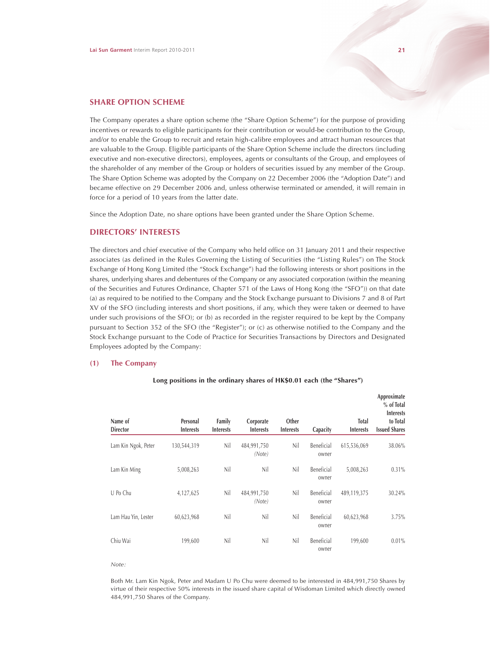# **SHARE OPTION SCHEME**

The Company operates a share option scheme (the "Share Option Scheme") for the purpose of providing incentives or rewards to eligible participants for their contribution or would-be contribution to the Group, and/or to enable the Group to recruit and retain high-calibre employees and attract human resources that are valuable to the Group. Eligible participants of the Share Option Scheme include the directors (including executive and non-executive directors), employees, agents or consultants of the Group, and employees of the shareholder of any member of the Group or holders of securities issued by any member of the Group. The Share Option Scheme was adopted by the Company on 22 December 2006 (the "Adoption Date") and became effective on 29 December 2006 and, unless otherwise terminated or amended, it will remain in force for a period of 10 years from the latter date.

Since the Adoption Date, no share options have been granted under the Share Option Scheme.

# **DIRECTORS' INTERESTS**

The directors and chief executive of the Company who held office on 31 January 2011 and their respective associates (as defined in the Rules Governing the Listing of Securities (the "Listing Rules") on The Stock Exchange of Hong Kong Limited (the "Stock Exchange") had the following interests or short positions in the shares, underlying shares and debentures of the Company or any associated corporation (within the meaning of the Securities and Futures Ordinance, Chapter 571 of the Laws of Hong Kong (the "SFO")) on that date (a) as required to be notified to the Company and the Stock Exchange pursuant to Divisions 7 and 8 of Part XV of the SFO (including interests and short positions, if any, which they were taken or deemed to have under such provisions of the SFO); or (b) as recorded in the register required to be kept by the Company pursuant to Section 352 of the SFO (the "Register"); or (c) as otherwise notified to the Company and the Stock Exchange pursuant to the Code of Practice for Securities Transactions by Directors and Designated Employees adopted by the Company:

# **(1) The Company**

| Name of<br><b>Director</b> | Personal<br><b>Interests</b> | Family<br><b>Interests</b> | Corporate<br><b>Interests</b> | Other<br><b>Interests</b> | Capacity            | <b>Total</b><br><b>Interests</b> | Approximate<br>$%$ of Total<br><b>Interests</b><br>to Total<br><b>Issued Shares</b> |
|----------------------------|------------------------------|----------------------------|-------------------------------|---------------------------|---------------------|----------------------------------|-------------------------------------------------------------------------------------|
| Lam Kin Ngok, Peter        | 130,544,319                  | Nil                        | 484,991,750<br>(Note)         | Nil                       | Beneficial<br>owner | 615,536,069                      | 38.06%                                                                              |
| Lam Kin Ming               | 5,008,263                    | Nil                        | Nil                           | Nil                       | Beneficial<br>owner | 5,008,263                        | 0.31%                                                                               |
| U Po Chu                   | 4,127,625                    | Nil                        | 484,991,750<br>(Note)         | Nil                       | Beneficial<br>owner | 489,119,375                      | 30.24%                                                                              |
| Lam Hau Yin, Lester        | 60,623,968                   | Nil                        | Nil                           | Nil                       | Beneficial<br>owner | 60,623,968                       | 3.75%                                                                               |
| Chiu Wai                   | 199,600                      | Nil                        | Nil                           | Nil                       | Beneficial<br>owner | 199,600                          | $0.01\%$                                                                            |

#### **Long positions in the ordinary shares of HK\$0.01 each (the "Shares")**

#### *Note:*

Both Mr. Lam Kin Ngok, Peter and Madam U Po Chu were deemed to be interested in 484,991,750 Shares by virtue of their respective 50% interests in the issued share capital of Wisdoman Limited which directly owned 484,991,750 Shares of the Company.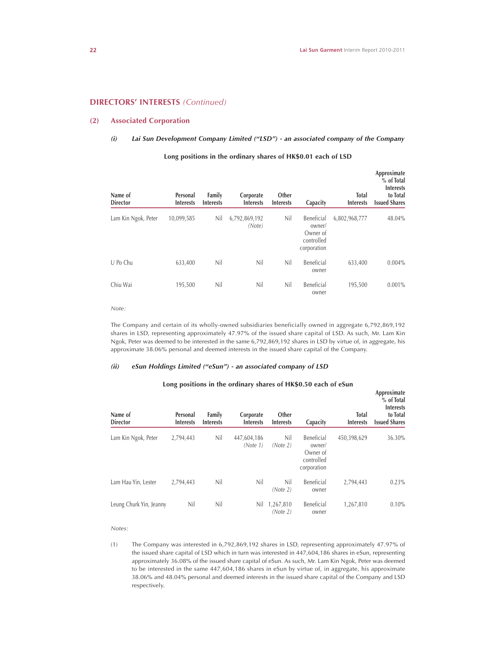# **DIRECTORS' INTERESTS** *(Continued)*

# **(2) Associated Corporation**

# *(i) Lai Sun Development Company Limited ("LSD") - an associated company of the Company*

| Name of<br><b>Director</b> | Personal<br><b>Interests</b> | Family<br><b>Interests</b> | Corporate<br><b>Interests</b> | Other<br><b>Interests</b> | Capacity                                                      | <b>Total</b><br><b>Interests</b> | Approximate<br>$%$ of Total<br><b>Interests</b><br>to Total<br><b>Issued Shares</b> |
|----------------------------|------------------------------|----------------------------|-------------------------------|---------------------------|---------------------------------------------------------------|----------------------------------|-------------------------------------------------------------------------------------|
| Lam Kin Ngok, Peter        | 10,099,585                   | Nil                        | 6,792,869,192<br>(Note)       | Nil                       | Beneficial<br>owner/<br>Owner of<br>controlled<br>corporation | 6,802,968,777                    | 48.04%                                                                              |
| U Po Chu                   | 633,400                      | Nil                        | Nil                           | Nil                       | Beneficial<br>owner                                           | 633,400                          | $0.004\%$                                                                           |
| Chiu Wai                   | 195,500                      | Nil                        | Nil                           | Nil                       | Beneficial<br>owner                                           | 195,500                          | 0.001%                                                                              |

# **Long positions in the ordinary shares of HK\$0.01 each of LSD**

*Note:*

The Company and certain of its wholly-owned subsidiaries beneficially owned in aggregate 6,792,869,192 shares in LSD, representing approximately 47.97% of the issued share capital of LSD. As such, Mr. Lam Kin Ngok, Peter was deemed to be interested in the same 6,792,869,192 shares in LSD by virtue of, in aggregate, his approximate 38.06% personal and deemed interests in the issued share capital of the Company.

### *(ii) eSun Holdings Limited ("eSun") - an associated company of LSD*

| Name of<br><b>Director</b> | Personal<br><b>Interests</b> | Family<br><b>Interests</b> | Corporate<br><b>Interests</b> | Other<br><b>Interests</b> | Capacity                                                      | <b>Total</b><br><b>Interests</b> | Approximate<br>% of Total<br><b>Interests</b><br>to Total<br><b>Issued Shares</b> |
|----------------------------|------------------------------|----------------------------|-------------------------------|---------------------------|---------------------------------------------------------------|----------------------------------|-----------------------------------------------------------------------------------|
| Lam Kin Ngok, Peter        | 2,794,443                    | Nil                        | 447,604,186<br>(Note 1)       | Nil<br>(Note 2)           | Beneficial<br>owner/<br>Owner of<br>controlled<br>corporation | 450,398,629                      | 36.30%                                                                            |
| Lam Hau Yin, Lester        | 2,794,443                    | Nil                        | Nil                           | Nil<br>(Note 2)           | Beneficial<br>owner                                           | 2,794,443                        | 0.23%                                                                             |
| Leung Churk Yin, Jeanny    | Nil                          | Nil                        | Nil                           | 1,267,810<br>(Note 2)     | Beneficial<br>owner                                           | 1,267,810                        | 0.10%                                                                             |

# **Long positions in the ordinary shares of HK\$0.50 each of eSun**

*Notes:*

(1) The Company was interested in 6,792,869,192 shares in LSD, representing approximately 47.97% of the issued share capital of LSD which in turn was interested in 447,604,186 shares in eSun, representing approximately 36.08% of the issued share capital of eSun. As such, Mr. Lam Kin Ngok, Peter was deemed to be interested in the same 447,604,186 shares in eSun by virtue of, in aggregate, his approximate 38.06% and 48.04% personal and deemed interests in the issued share capital of the Company and LSD respectively.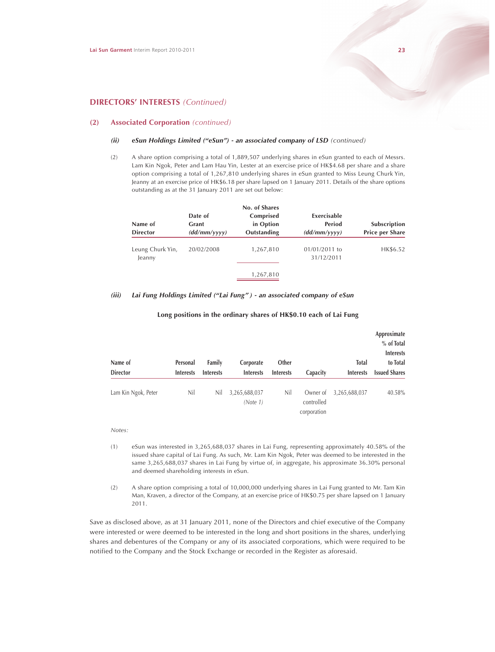# **(2) Associated Corporation** *(continued)*

#### *(ii)* eSun Holdings Limited ("eSun") - an associated company of LSD (continued)

(2) A share option comprising a total of 1,889,507 underlying shares in eSun granted to each of Messrs. Lam Kin Ngok, Peter and Lam Hau Yin, Lester at an exercise price of HK\$4.68 per share and a share option comprising a total of 1,267,810 underlying shares in eSun granted to Miss Leung Churk Yin, Jeanny at an exercise price of HK\$6.18 per share lapsed on 1 January 2011. Details of the share options outstanding as at the 31 January 2011 are set out below:

| Name of<br><b>Director</b> | Date of<br>Grant<br>(dd/mm/yyyy) | No. of Shares<br>Comprised<br>in Option<br>Outstanding | Exercisable<br>Period<br>(dd/mm/yyyy) | Subscription<br><b>Price per Share</b> |
|----------------------------|----------------------------------|--------------------------------------------------------|---------------------------------------|----------------------------------------|
| Leung Churk Yin,<br>Jeanny | 20/02/2008                       | 1,267,810                                              | $01/01/2011$ to<br>31/12/2011         | HK\$6.52                               |
|                            |                                  | 1,267,810                                              |                                       |                                        |

### *(iii) Lai Fung Holdings Limited ("Lai Fung" ) - an associated company of eSun*

| Name of<br><b>Director</b> | Personal<br><b>Interests</b> | Family<br><b>Interests</b> | Corporate<br><b>Interests</b> | Other<br><b>Interests</b> | Capacity                              | <b>Total</b><br><b>Interests</b> | Approximate<br>% of Total<br><b>Interests</b><br>to Total<br><b>Issued Shares</b> |
|----------------------------|------------------------------|----------------------------|-------------------------------|---------------------------|---------------------------------------|----------------------------------|-----------------------------------------------------------------------------------|
| Lam Kin Ngok, Peter        | Nil                          | Nil                        | 3,265,688,037<br>(Note 1)     | Nil                       | Owner of<br>controlled<br>corporation | 3,265,688,037                    | 40.58%                                                                            |

## **Long positions in the ordinary shares of HK\$0.10 each of Lai Fung**

*Notes:*

- (1) eSun was interested in 3,265,688,037 shares in Lai Fung, representing approximately 40.58% of the issued share capital of Lai Fung. As such, Mr. Lam Kin Ngok, Peter was deemed to be interested in the same 3,265,688,037 shares in Lai Fung by virtue of, in aggregate, his approximate 36.30% personal and deemed shareholding interests in eSun.
- (2) A share option comprising a total of 10,000,000 underlying shares in Lai Fung granted to Mr. Tam Kin Man, Kraven, a director of the Company, at an exercise price of HK\$0.75 per share lapsed on 1 January 2011.

Save as disclosed above, as at 31 January 2011, none of the Directors and chief executive of the Company were interested or were deemed to be interested in the long and short positions in the shares, underlying shares and debentures of the Company or any of its associated corporations, which were required to be notified to the Company and the Stock Exchange or recorded in the Register as aforesaid.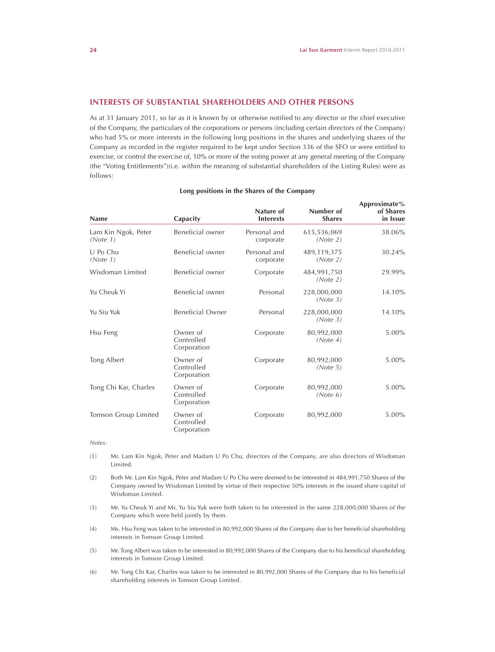**Approximate%**

# **INTERESTS OF SUBSTANTIAL SHAREHOLDERS AND OTHER PERSONS**

As at 31 January 2011, so far as it is known by or otherwise notified to any director or the chief executive of the Company, the particulars of the corporations or persons (including certain directors of the Company) who had 5% or more interests in the following long positions in the shares and underlying shares of the Company as recorded in the register required to be kept under Section 336 of the SFO or were entitled to exercise, or control the exercise of, 10% or more of the voting power at any general meeting of the Company (the "Voting Entitlements")(i.e. within the meaning of substantial shareholders of the Listing Rules) were as follows:

| <b>Name</b>                     | Capacity                              | Nature of<br><b>Interests</b> | Number of<br><b>Shares</b> | of Shares<br>in Issue |
|---------------------------------|---------------------------------------|-------------------------------|----------------------------|-----------------------|
| Lam Kin Ngok, Peter<br>(Note 1) | Beneficial owner                      | Personal and<br>corporate     | 615,536,069<br>(Note 2)    | 38.06%                |
| U Po Chu<br>(Note 1)            | Beneficial owner                      | Personal and<br>corporate     | 489,119,375<br>(Note 2)    | 30.24%                |
| Wisdoman Limited                | Beneficial owner                      | Corporate                     | 484,991,750<br>(Note 2)    | 29.99%                |
| Yu Cheuk Yi                     | Beneficial owner                      | Personal                      | 228,000,000<br>(Note 3)    | 14.10%                |
| Yu Siu Yuk                      | <b>Beneficial Owner</b>               | Personal                      | 228,000,000<br>(Note 3)    | 14.10%                |
| Hsu Feng                        | Owner of<br>Controlled<br>Corporation | Corporate                     | 80,992,000<br>(Note 4)     | $5.00\%$              |
| Tong Albert                     | Owner of<br>Controlled<br>Corporation | Corporate                     | 80,992,000<br>(Note 5)     | $5.00\%$              |
| Tong Chi Kar, Charles           | Owner of<br>Controlled<br>Corporation | Corporate                     | 80,992,000<br>(Note 6)     | $5.00\%$              |
| Tomson Group Limited            | Owner of<br>Controlled<br>Corporation | Corporate                     | 80,992,000                 | 5.00%                 |

#### **Long positions in the Shares of the Company**

*Notes:*

- (1) Mr. Lam Kin Ngok, Peter and Madam U Po Chu, directors of the Company, are also directors of Wisdoman Limited.
- (2) Both Mr. Lam Kin Ngok, Peter and Madam U Po Chu were deemed to be interested in 484,991,750 Shares of the Company owned by Wisdoman Limited by virtue of their respective 50% interests in the issued share capital of Wisdoman Limited.
- (3) Mr. Yu Cheuk Yi and Ms. Yu Siu Yuk were both taken to be interested in the same 228,000,000 Shares of the Company which were held jointly by them.
- (4) Ms. Hsu Feng was taken to be interested in 80,992,000 Shares of the Company due to her beneficial shareholding interests in Tomson Group Limited.
- (5) Mr. Tong Albert was taken to be interested in 80,992,000 Shares of the Company due to his beneficial shareholding interests in Tomson Group Limited.
- (6) Mr. Tong Chi Kar, Charles was taken to be interested in 80,992,000 Shares of the Company due to his beneficial shareholding interests in Tomson Group Limited.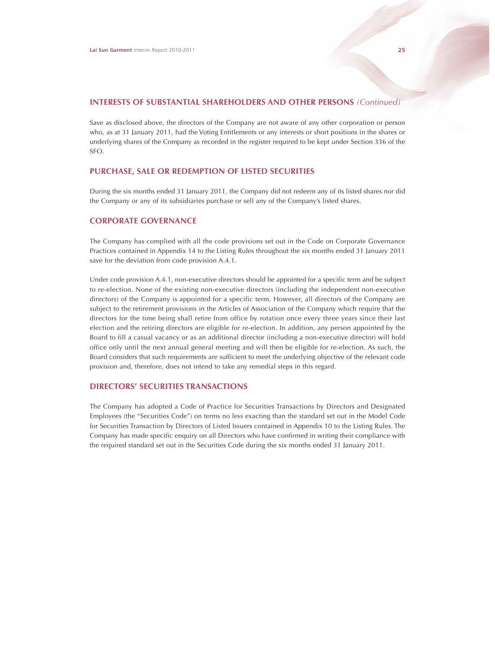# **INTERESTS OF SUBSTANTIAL SHAREHOLDERS AND OTHER PERSONS** *(Continued)*

Save as disclosed above, the directors of the Company are not aware of any other corporation or person who, as at 31 January 2011, had the Voting Entitlements or any interests or short positions in the shares or underlying shares of the Company as recorded in the register required to be kept under Section 336 of the SFO.

# **PURCHASE, SALE OR REDEMPTION OF LISTED SECURITIES**

During the six months ended 31 January 2011, the Company did not redeem any of its listed shares nor did the Company or any of its subsidiaries purchase or sell any of the Company's listed shares.

# **CORPORATE GOVERNANCE**

The Company has complied with all the code provisions set out in the Code on Corporate Governance Practices contained in Appendix 14 to the Listing Rules throughout the six months ended 31 January 2011 save for the deviation from code provision A.4.1.

Under code provision A.4.1, non-executive directors should be appointed for a specific term and be subject to re-election. None of the existing non-executive directors (including the independent non-executive directors) of the Company is appointed for a specific term. However, all directors of the Company are subject to the retirement provisions in the Articles of Association of the Company which require that the directors for the time being shall retire from office by rotation once every three years since their last election and the retiring directors are eligible for re-election. In addition, any person appointed by the Board to fill a casual vacancy or as an additional director (including a non-executive director) will hold office only until the next annual general meeting and will then be eligible for re-election. As such, the Board considers that such requirements are sufficient to meet the underlying objective of the relevant code provision and, therefore, does not intend to take any remedial steps in this regard.

# **DIRECTORS' SECURITIES TRANSACTIONS**

The Company has adopted a Code of Practice for Securities Transactions by Directors and Designated Employees (the "Securities Code") on terms no less exacting than the standard set out in the Model Code for Securities Transaction by Directors of Listed Issuers contained in Appendix 10 to the Listing Rules. The Company has made specific enquiry on all Directors who have confirmed in writing their compliance with the required standard set out in the Securities Code during the six months ended 31 January 2011.